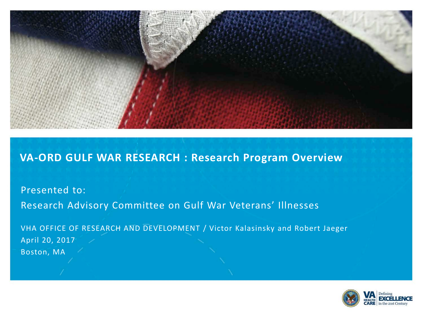

#### **VA-ORD GULF WAR RESEARCH : Research Program Overview**

Presented to: Research Advisory Committee on Gulf War Veterans' Illnesses

VHA OFFICE OF RESEARCH AND DEVELOPMENT / Victor Kalasinsky and Robert Jaeger April 20, 2017 Boston, MA

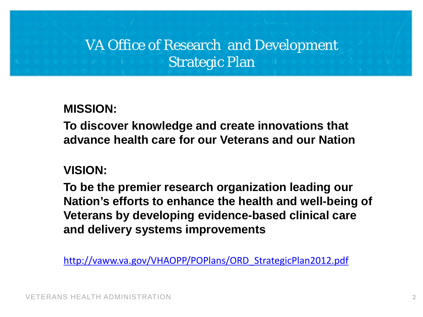## VA Office of Research and Development Strategic Plan

**MISSION:** 

**To discover knowledge and create innovations that advance health care for our Veterans and our Nation**

#### **VISION:**

**To be the premier research organization leading our Nation's efforts to enhance the health and well-being of Veterans by developing evidence-based clinical care and delivery systems improvements** 

[http://vaww.va.gov/VHAOPP/POPlans/ORD\\_StrategicPlan2012.pdf](http://vaww.va.gov/VHAOPP/POPlans/ORD_StrategicPlan2012.pdf)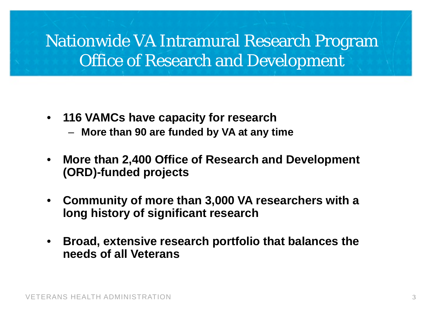# Nationwide VA Intramural Research Program Office of Research and Development

- **116 VAMCs have capacity for research**
	- **More than 90 are funded by VA at any time**
- **More than 2,400 Office of Research and Development (ORD)-funded projects**
- **Community of more than 3,000 VA researchers with a long history of significant research**
- **Broad, extensive research portfolio that balances the needs of all Veterans**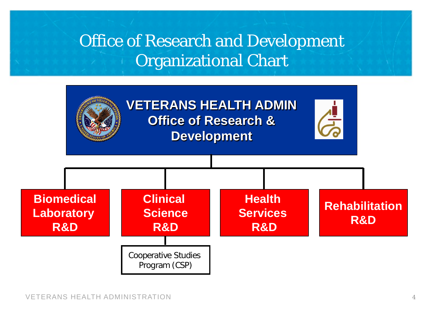# Office of Research and Development Organizational Chart

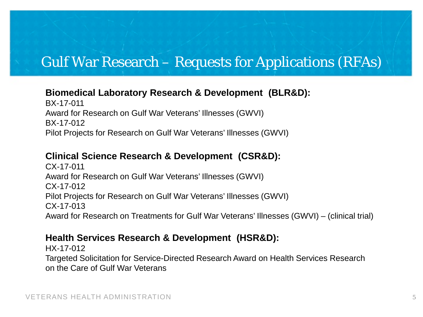#### Gulf War Research – Requests for Applications (RFAs)

#### **Biomedical Laboratory Research & Development (BLR&D):**

BX-17-011 Award for Research on Gulf War Veterans' Illnesses (GWVI) BX-17-012 Pilot Projects for Research on Gulf War Veterans' Illnesses (GWVI)

#### **Clinical Science Research & Development (CSR&D):**

CX-17-011 Award for Research on Gulf War Veterans' Illnesses (GWVI) CX-17-012 Pilot Projects for Research on Gulf War Veterans' Illnesses (GWVI) CX-17-013 Award for Research on Treatments for Gulf War Veterans' Illnesses (GWVI) – (clinical trial)

#### **Health Services Research & Development (HSR&D):**

HX-17-012 Targeted Solicitation for Service-Directed Research Award on Health Services Research on the Care of Gulf War Veterans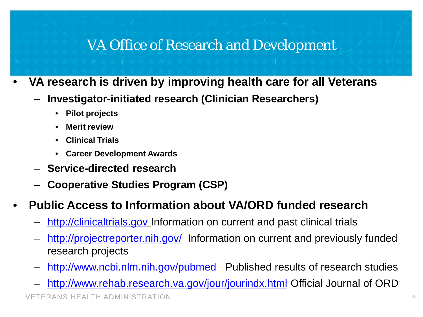#### VA Office of Research and Development

- **VA research is driven by improving health care for all Veterans**
	- **Investigator-initiated research (Clinician Researchers)**
		- **Pilot projects**
		- **Merit review**
		- **Clinical Trials**
		- **Career Development Awards**
	- **Service-directed research**
	- **Cooperative Studies Program (CSP)**

#### • **Public Access to Information about VA/ORD funded research**

- [http://clinicaltrials.gov](http://clinicaltrials.gov/) Information on current and past clinical trials
- <http://projectreporter.nih.gov/> Information on current and previously funded research projects
- <http://www.ncbi.nlm.nih.gov/pubmed> Published results of research studies
- <http://www.rehab.research.va.gov/jour/jourindx.html> Official Journal of ORD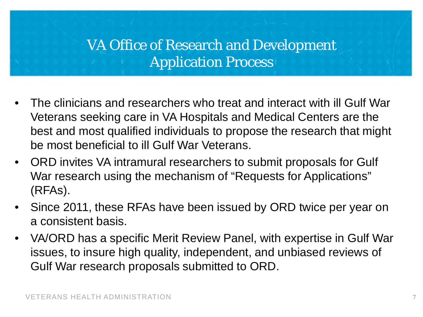## VA Office of Research and Development Application Process

- The clinicians and researchers who treat and interact with ill Gulf War Veterans seeking care in VA Hospitals and Medical Centers are the best and most qualified individuals to propose the research that might be most beneficial to ill Gulf War Veterans.
- ORD invites VA intramural researchers to submit proposals for Gulf War research using the mechanism of "Requests for Applications" (RFAs).
- Since 2011, these RFAs have been issued by ORD twice per year on a consistent basis.
- VA/ORD has a specific Merit Review Panel, with expertise in Gulf War issues, to insure high quality, independent, and unbiased reviews of Gulf War research proposals submitted to ORD.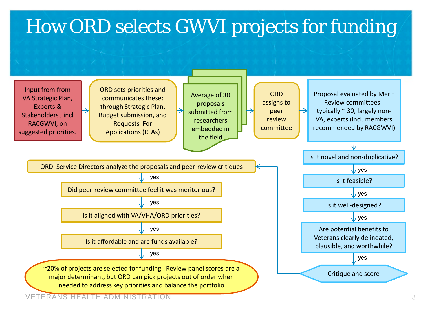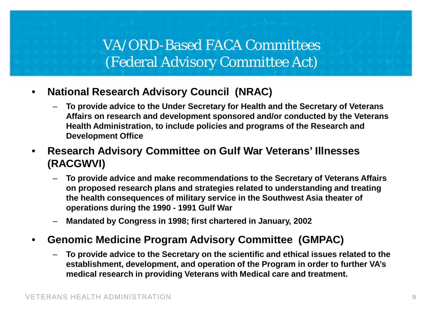#### VA/ORD-Based FACA Committees (Federal Advisory Committee Act)

- **National Research Advisory Council (NRAC)**
	- **To provide advice to the Under Secretary for Health and the Secretary of Veterans Affairs on research and development sponsored and/or conducted by the Veterans Health Administration, to include policies and programs of the Research and Development Office**
- **Research Advisory Committee on Gulf War Veterans' Illnesses (RACGWVI)**
	- **To provide advice and make recommendations to the Secretary of Veterans Affairs on proposed research plans and strategies related to understanding and treating the health consequences of military service in the Southwest Asia theater of operations during the 1990 - 1991 Gulf War**
	- **Mandated by Congress in 1998; first chartered in January, 2002**
- **Genomic Medicine Program Advisory Committee (GMPAC)**
	- **To provide advice to the Secretary on the scientific and ethical issues related to the establishment, development, and operation of the Program in order to further VA's medical research in providing Veterans with Medical care and treatment.**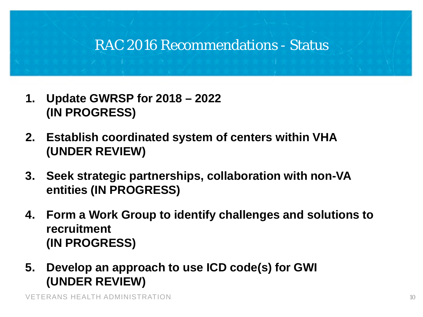#### RAC 2016 Recommendations - Status

- **1. Update GWRSP for 2018 – 2022 (IN PROGRESS)**
- **2. Establish coordinated system of centers within VHA (UNDER REVIEW)**
- **3. Seek strategic partnerships, collaboration with non-VA entities (IN PROGRESS)**
- **4. Form a Work Group to identify challenges and solutions to recruitment (IN PROGRESS)**
- **5. Develop an approach to use ICD code(s) for GWI (UNDER REVIEW)**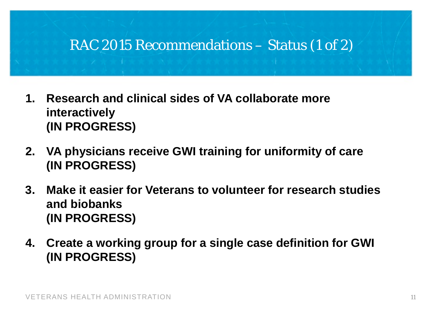#### RAC 2015 Recommendations – Status (1 of 2)

- **1. Research and clinical sides of VA collaborate more interactively (IN PROGRESS)**
- **2. VA physicians receive GWI training for uniformity of care (IN PROGRESS)**
- **3. Make it easier for Veterans to volunteer for research studies and biobanks (IN PROGRESS)**
- **4. Create a working group for a single case definition for GWI (IN PROGRESS)**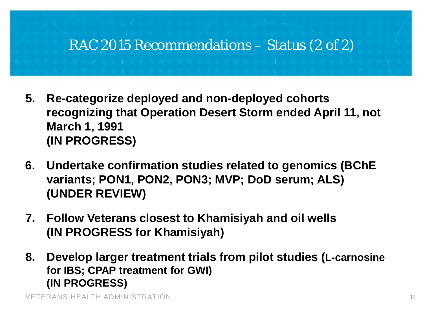### RAC 2015 Recommendations – Status (2 of 2)

- **5. Re-categorize deployed and non-deployed cohorts recognizing that Operation Desert Storm ended April 11, not March 1, 1991 (IN PROGRESS)**
- **6. Undertake confirmation studies related to genomics (BChE variants; PON1, PON2, PON3; MVP; DoD serum; ALS) (UNDER REVIEW)**
- **7. Follow Veterans closest to Khamisiyah and oil wells (IN PROGRESS for Khamisiyah)**
- **8. Develop larger treatment trials from pilot studies (L-carnosine for IBS; CPAP treatment for GWI) (IN PROGRESS)**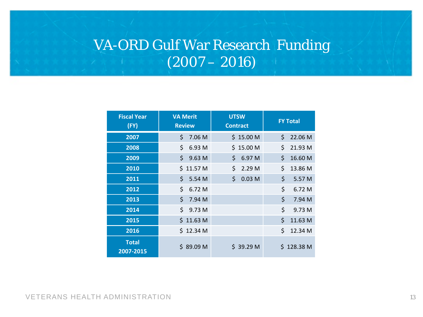## VA-ORD Gulf War Research Funding  $(2007 - 2016)$

| <b>Fiscal Year</b><br>(FY) | <b>VA Merit</b><br><b>Review</b> | <b>UTSW</b><br><b>Contract</b> | <b>FY Total</b> |
|----------------------------|----------------------------------|--------------------------------|-----------------|
| 2007                       | \$<br>7.06 M                     | \$15.00 M                      | \$<br>22.06 M   |
| 2008                       | \$<br>6.93 M                     | \$15.00 M                      | \$<br>21.93 M   |
| 2009                       | \$9.63 M                         | \$6.97 M                       | \$<br>16.60 M   |
| 2010                       | \$11.57 <sub>M</sub>             | \$<br>2.29 M                   | \$<br>13.86 M   |
| 2011                       | \$<br>5.54 M                     | \$<br>0.03 <sub>M</sub>        | \$<br>5.57 M    |
| 2012                       | \$<br>6.72 M                     |                                | \$<br>6.72 M    |
| 2013                       | \$7.94 M                         |                                | \$<br>7.94 M    |
| 2014                       | \$9.73 M                         |                                | \$<br>9.73 M    |
| 2015                       | \$11.63 M                        |                                | \$<br>11.63 M   |
| 2016                       | \$12.34 M                        |                                | \$<br>12.34 M   |
| <b>Total</b><br>2007-2015  | \$89.09 M                        | \$39.29 <sub>M</sub>           | \$128.38 M      |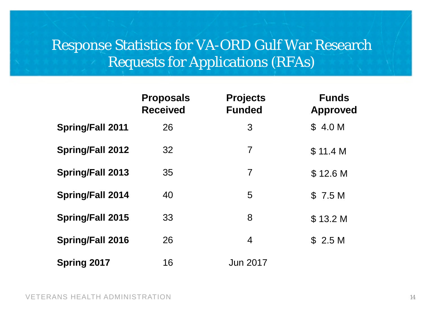### Response Statistics for VA-ORD Gulf War Research Requests for Applications (RFAs)

|                         | <b>Proposals</b><br><b>Received</b> | <b>Projects</b><br><b>Funded</b> | <b>Funds</b><br><b>Approved</b> |
|-------------------------|-------------------------------------|----------------------------------|---------------------------------|
| <b>Spring/Fall 2011</b> | 26                                  | 3                                | \$4.0 M                         |
| <b>Spring/Fall 2012</b> | 32                                  | $\overline{7}$                   | \$11.4 M                        |
| <b>Spring/Fall 2013</b> | 35                                  | $\overline{7}$                   | \$12.6 <sub>M</sub>             |
| <b>Spring/Fall 2014</b> | 40                                  | 5                                | \$7.5M                          |
| <b>Spring/Fall 2015</b> | 33                                  | 8                                | \$13.2 M                        |
| <b>Spring/Fall 2016</b> | 26                                  | 4                                | \$2.5 M                         |
| <b>Spring 2017</b>      | 16                                  | <b>Jun 2017</b>                  |                                 |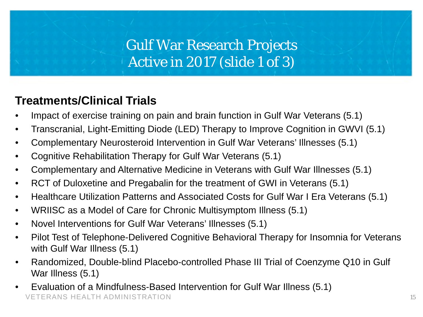### Gulf War Research Projects Active in 2017 (slide 1 of 3)

#### **Treatments/Clinical Trials**

- Impact of exercise training on pain and brain function in Gulf War Veterans (5.1)
- Transcranial, Light-Emitting Diode (LED) Therapy to Improve Cognition in GWVI (5.1)
- Complementary Neurosteroid Intervention in Gulf War Veterans' Illnesses (5.1)
- Cognitive Rehabilitation Therapy for Gulf War Veterans (5.1)
- Complementary and Alternative Medicine in Veterans with Gulf War Illnesses (5.1)
- RCT of Duloxetine and Pregabalin for the treatment of GWI in Veterans (5.1)
- Healthcare Utilization Patterns and Associated Costs for Gulf War I Era Veterans (5.1)
- WRIISC as a Model of Care for Chronic Multisymptom Illness (5.1)
- Novel Interventions for Gulf War Veterans' Illnesses (5.1)
- Pilot Test of Telephone-Delivered Cognitive Behavioral Therapy for Insomnia for Veterans with Gulf War Illness (5.1)
- Randomized, Double-blind Placebo-controlled Phase III Trial of Coenzyme Q10 in Gulf War Illness (5.1)
- VETERANS HEALTH ADMINISTRATION • Evaluation of a Mindfulness-Based Intervention for Gulf War Illness (5.1)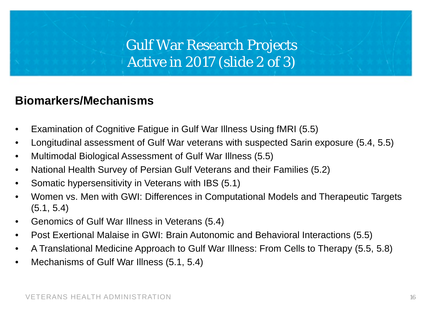### Gulf War Research Projects Active in 2017 (slide 2 of 3)

#### **Biomarkers/Mechanisms**

- Examination of Cognitive Fatigue in Gulf War Illness Using fMRI (5.5)
- Longitudinal assessment of Gulf War veterans with suspected Sarin exposure (5.4, 5.5)
- Multimodal Biological Assessment of Gulf War Illness (5.5)
- National Health Survey of Persian Gulf Veterans and their Families (5.2)
- Somatic hypersensitivity in Veterans with IBS (5.1)
- Women vs. Men with GWI: Differences in Computational Models and Therapeutic Targets (5.1, 5.4)
- Genomics of Gulf War Illness in Veterans (5.4)
- Post Exertional Malaise in GWI: Brain Autonomic and Behavioral Interactions (5.5)
- A Translational Medicine Approach to Gulf War Illness: From Cells to Therapy (5.5, 5.8)
- Mechanisms of Gulf War Illness (5.1, 5.4)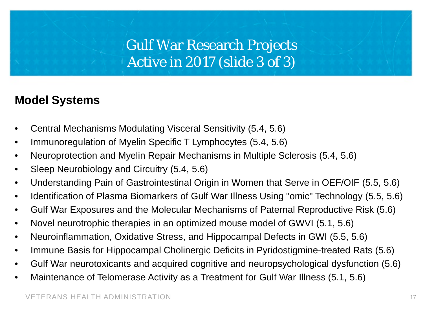### Gulf War Research Projects Active in 2017 (slide 3 of 3)

#### **Model Systems**

- Central Mechanisms Modulating Visceral Sensitivity (5.4, 5.6)
- Immunoregulation of Myelin Specific T Lymphocytes (5.4, 5.6)
- Neuroprotection and Myelin Repair Mechanisms in Multiple Sclerosis (5.4, 5.6)
- Sleep Neurobiology and Circuitry (5.4, 5.6)
- Understanding Pain of Gastrointestinal Origin in Women that Serve in OEF/OIF (5.5, 5.6)
- Identification of Plasma Biomarkers of Gulf War Illness Using "omic" Technology (5.5, 5.6)
- Gulf War Exposures and the Molecular Mechanisms of Paternal Reproductive Risk (5.6)
- Novel neurotrophic therapies in an optimized mouse model of GWVI (5.1, 5.6)
- Neuroinflammation, Oxidative Stress, and Hippocampal Defects in GWI (5.5, 5.6)
- Immune Basis for Hippocampal Cholinergic Deficits in Pyridostigmine-treated Rats (5.6)
- Gulf War neurotoxicants and acquired cognitive and neuropsychological dysfunction (5.6)
- Maintenance of Telomerase Activity as a Treatment for Gulf War Illness (5.1, 5.6)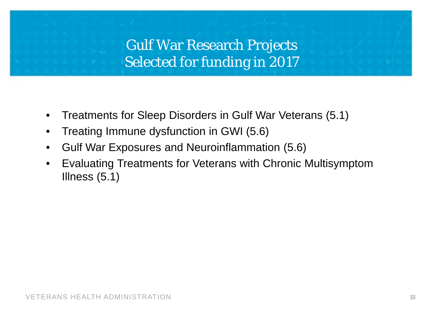### Gulf War Research Projects Selected for funding in 2017

- Treatments for Sleep Disorders in Gulf War Veterans (5.1)
- Treating Immune dysfunction in GWI (5.6)
- Gulf War Exposures and Neuroinflammation (5.6)
- Evaluating Treatments for Veterans with Chronic Multisymptom Illness (5.1)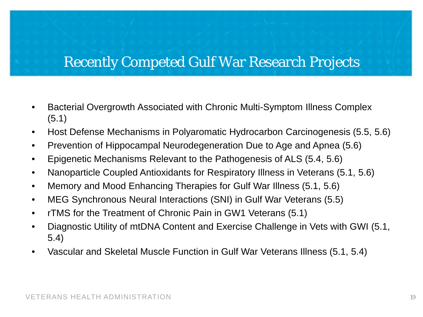### Recently Competed Gulf War Research Projects

- Bacterial Overgrowth Associated with Chronic Multi-Symptom Illness Complex (5.1)
- Host Defense Mechanisms in Polyaromatic Hydrocarbon Carcinogenesis (5.5, 5.6)
- Prevention of Hippocampal Neurodegeneration Due to Age and Apnea (5.6)
- Epigenetic Mechanisms Relevant to the Pathogenesis of ALS (5.4, 5.6)
- Nanoparticle Coupled Antioxidants for Respiratory Illness in Veterans (5.1, 5.6)
- Memory and Mood Enhancing Therapies for Gulf War Illness (5.1, 5.6)
- MEG Synchronous Neural Interactions (SNI) in Gulf War Veterans (5.5)
- rTMS for the Treatment of Chronic Pain in GW1 Veterans (5.1)
- Diagnostic Utility of mtDNA Content and Exercise Challenge in Vets with GWI (5.1, 5.4)
- Vascular and Skeletal Muscle Function in Gulf War Veterans Illness (5.1, 5.4)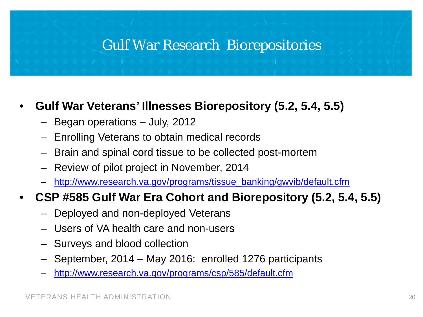#### Gulf War Research Biorepositories

#### • **Gulf War Veterans' Illnesses Biorepository (5.2, 5.4, 5.5)**

- Began operations July, 2012
- Enrolling Veterans to obtain medical records
- Brain and spinal cord tissue to be collected post-mortem
- Review of pilot project in November, 2014
- http[://www.research.va.gov/programs/tissue\\_banking/gwvib/default.cfm](http://www.research.va.gov/programs/tissue_banking/gwvib/default.cfm)

#### • **CSP #585 Gulf War Era Cohort and Biorepository (5.2, 5.4, 5.5)**

- Deployed and non-deployed Veterans
- Users of VA health care and non-users
- Surveys and blood collection
- September, 2014 May 2016: enrolled 1276 participants
- <http://www.research.va.gov/programs/csp/585/default.cfm>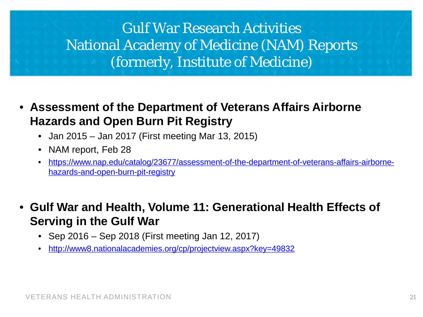## Gulf War Research Activities National Academy of Medicine (NAM) Reports (formerly, Institute of Medicine)

- **Assessment of the Department of Veterans Affairs Airborne Hazards and Open Burn Pit Registry**
	- Jan 2015 Jan 2017 (First meeting Mar 13, 2015)
	- NAM report, Feb 28
	- [https://www.nap.edu/catalog/23677/assessment-of-the-department-of-veterans-affairs-airborne](https://www.nap.edu/catalog/23677/assessment-of-the-department-of-veterans-affairs-airborne-hazards-and-open-burn-pit-registry)hazards-and-open-burn-pit-registry
- **Gulf War and Health, Volume 11: Generational Health Effects of Serving in the Gulf War**
	- Sep 2016 Sep 2018 (First meeting Jan 12, 2017)
	- <http://www8.nationalacademies.org/cp/projectview.aspx?key=49832>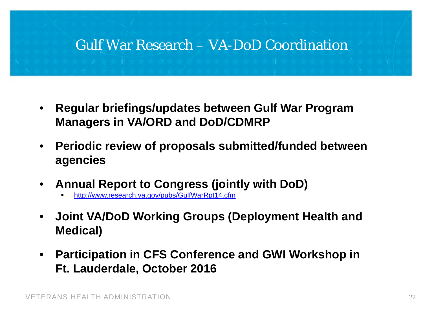#### Gulf War Research – VA-DoD Coordination

- **Regular briefings/updates between Gulf War Program Managers in VA/ORD and DoD/CDMRP**
- **Periodic review of proposals submitted/funded between agencies**
- **Annual Report to Congress (jointly with DoD)**
	- <http://www.research.va.gov/pubs/GulfWarRpt14.cfm>
- **Joint VA/DoD Working Groups (Deployment Health and Medical)**
- **Participation in CFS Conference and GWI Workshop in Ft. Lauderdale, October 2016**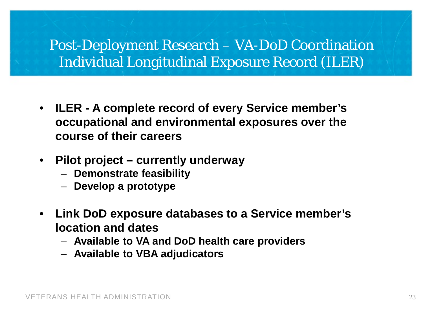### Post-Deployment Research – VA-DoD Coordination Individual Longitudinal Exposure Record (ILER)

- **ILER - A complete record of every Service member's occupational and environmental exposures over the course of their careers**
- **Pilot project – currently underway**
	- **Demonstrate feasibility**
	- **Develop a prototype**
- **Link DoD exposure databases to a Service member's location and dates** 
	- **Available to VA and DoD health care providers**
	- **Available to VBA adjudicators**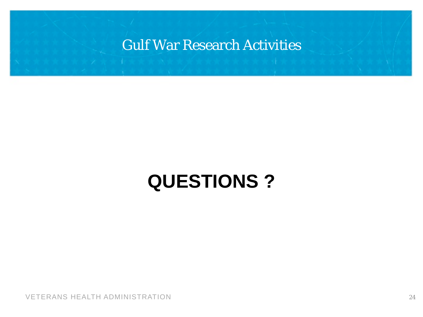#### Gulf War Research Activities

# **QUESTIONS ?**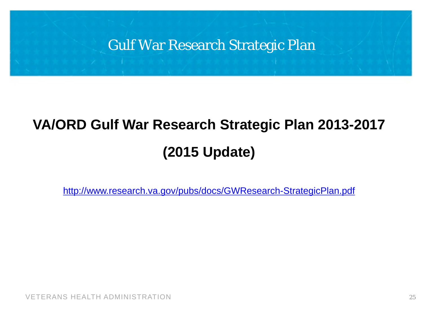

# **VA/ORD Gulf War Research Strategic Plan 2013-2017 (2015 Update)**

<http://www.research.va.gov/pubs/docs/GWResearch-StrategicPlan.pdf>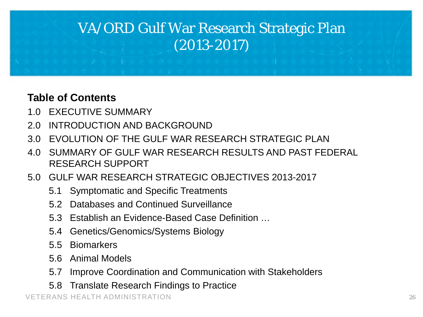## VA/ORD Gulf War Research Strategic Plan (2013-2017)

#### **Table of Contents**

- 1.0 EXECUTIVE SUMMARY
- 2.0 INTRODUCTION AND BACKGROUND
- 3.0 FVOLUTION OF THE GULF WAR RESEARCH STRATEGIC PLAN
- 4.0 SUMMARY OF GULF WAR RESEARCH RESULTS AND PAST FEDERAL RESEARCH SUPPORT
- 5.0 GULF WAR RESEARCH STRATEGIC OBJECTIVES 2013-2017
	- 5.1 Symptomatic and Specific Treatments
	- 5.2 Databases and Continued Surveillance
	- 5.3 Establish an Evidence-Based Case Definition …
	- 5.4 Genetics/Genomics/Systems Biology
	- 5.5 Biomarkers
	- 5.6 Animal Models
	- 5.7 Improve Coordination and Communication with Stakeholders
	- 5.8 Translate Research Findings to Practice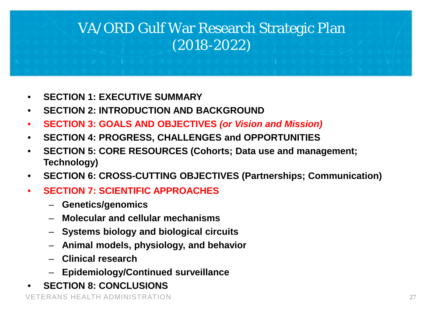## VA/ORD Gulf War Research Strategic Plan (2018-2022)

- **SECTION 1: EXECUTIVE SUMMARY**
- **SECTION 2: INTRODUCTION AND BACKGROUND**
- **SECTION 3: GOALS AND OBJECTIVES** *(or Vision and Mission)*
- **SECTION 4: PROGRESS, CHALLENGES and OPPORTUNITIES**
- **SECTION 5: CORE RESOURCES (Cohorts; Data use and management; Technology)**
- **SECTION 6: CROSS-CUTTING OBJECTIVES (Partnerships; Communication)**
- **SECTION 7: SCIENTIFIC APPROACHES**
	- **Genetics/genomics**
	- **Molecular and cellular mechanisms**
	- **Systems biology and biological circuits**
	- **Animal models, physiology, and behavior**
	- **Clinical research**
	- **Epidemiology/Continued surveillance**
- **SECTION 8: CONCLUSIONS**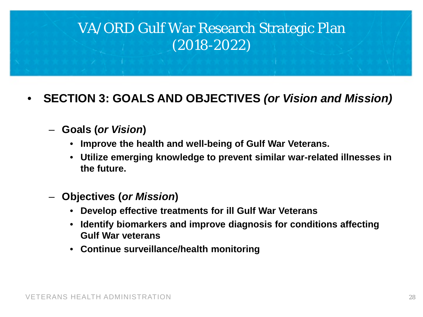## VA/ORD Gulf War Research Strategic Plan (2018-2022)

#### • **SECTION 3: GOALS AND OBJECTIVES** *(or Vision and Mission)*

#### – **Goals (***or Vision***)**

- **Improve the health and well-being of Gulf War Veterans.**
- **Utilize emerging knowledge to prevent similar war-related illnesses in the future.**
- **Objectives (***or Mission***)**
	- **Develop effective treatments for ill Gulf War Veterans**
	- **Identify biomarkers and improve diagnosis for conditions affecting Gulf War veterans**
	- **Continue surveillance/health monitoring**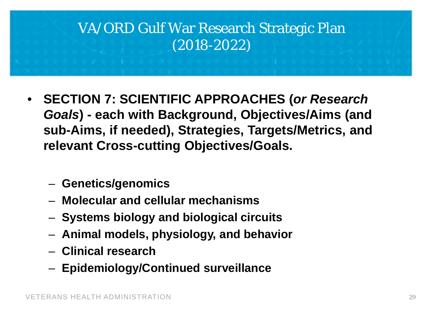## VA/ORD Gulf War Research Strategic Plan (2018-2022)

- **SECTION 7: SCIENTIFIC APPROACHES (***or Research Goals***) - each with Background, Objectives/Aims (and sub-Aims, if needed), Strategies, Targets/Metrics, and relevant Cross-cutting Objectives/Goals.**
	- **Genetics/genomics**
	- **Molecular and cellular mechanisms**
	- **Systems biology and biological circuits**
	- **Animal models, physiology, and behavior**
	- **Clinical research**
	- **Epidemiology/Continued surveillance**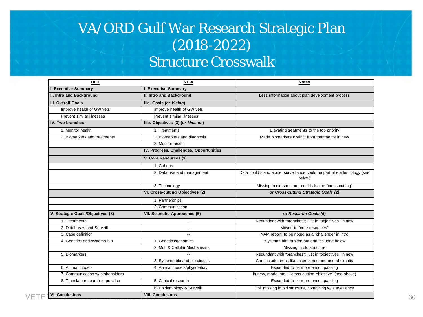## VA/ORD Gulf War Research Strategic Plan (2018-2022) Structure Crosswalk

| <b>OLD</b>                        | <b>NEW</b>                              | <b>Notes</b>                                                                      |
|-----------------------------------|-----------------------------------------|-----------------------------------------------------------------------------------|
| I. Executive Summary              | I. Executive Summary                    |                                                                                   |
| II. Intro and Background          | II. Intro and Background                | Less information about plan development process                                   |
| <b>III. Overall Goals</b>         | Illa. Goals (or Vision)                 |                                                                                   |
| Improve health of GW vets         | Improve health of GW vets               |                                                                                   |
| Prevent similar illnesses         | Prevent similar illnesses               |                                                                                   |
| IV. Two branches                  | IIIb. Objectives (3) (or Mission)       |                                                                                   |
| 1. Monitor health                 | 1. Treatments                           | Elevating treatments to the top priority                                          |
| 2. Biomarkers and treatments      | 2. Biomarkers and diagnosis             | Made biomarkers distinct from treatments in new                                   |
|                                   | 3. Monitor health                       |                                                                                   |
|                                   | IV. Progress, Challenges, Opportunities |                                                                                   |
|                                   | V. Core Resources (3)                   |                                                                                   |
|                                   | 1. Cohorts                              |                                                                                   |
|                                   | 2. Data use and management              | Data could stand alone, surveillance could be part of epidemiology (see<br>below) |
|                                   | 3. Technology                           | Missing in old structure, could also be "cross-cutting"                           |
|                                   | VI. Cross-cutting Objectives (2)        | or Cross-cutting Strategic Goals (2)                                              |
|                                   | 1. Partnerships                         |                                                                                   |
|                                   | 2. Communication                        |                                                                                   |
| V. Strategic Goals/Objectives (8) | VII. Scientific Approaches (6)          | or Research Goals (6)                                                             |
| 1. Treatments                     | $\overline{\phantom{a}}$                | Redundant with "branches"; just in "objectives" in new                            |
| 2. Databases and Surveill.        | $\overline{a}$                          | Moved to "core resources"                                                         |
| 3. Case definition                | $\sim$ $\sim$                           | NAM report; to be noted as a "challenge" in intro                                 |
| 4. Genetics and systems bio       | 1. Genetics/genomics                    | "Systems bio" broken out and included below                                       |
|                                   | 2. Mol. & Cellular Mechanisms           | Missing in old structure                                                          |
| 5. Biomarkers                     |                                         | Redundant with "branches"; just in "objectives" in new                            |
|                                   | 3. Systems bio and bio circuits         | Can include areas like microbiome and neural circuits                             |
| 6. Animal models                  | 4. Animal models/phys/behav             | Expanded to be more encompassing                                                  |
| 7. Communication w/ stakeholders  |                                         | In new, made into a "cross-cutting objective" (see above)                         |
| 8. Translate research to practice | 5. Clinical research                    | Expanded to be more encompassing                                                  |
|                                   | 6. Epidemiology & Surveill.             | Epi. missing in old structure, combining w/ surveillance                          |
| <b>VI. Conclusions</b>            | <b>VIII. Conclusions</b>                |                                                                                   |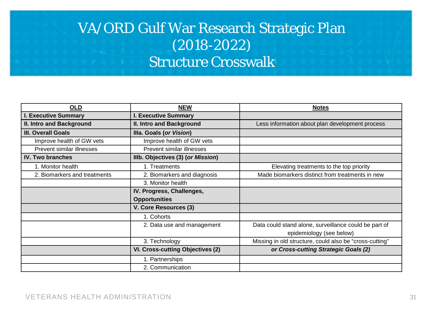## VA/ORD Gulf War Research Strategic Plan (2018-2022) Structure Crosswalk

| <b>OLD</b>                   | <b>NEW</b>                              | <b>Notes</b>                                            |
|------------------------------|-----------------------------------------|---------------------------------------------------------|
| <b>I. Executive Summary</b>  | <b>I. Executive Summary</b>             |                                                         |
| II. Intro and Background     | II. Intro and Background                | Less information about plan development process         |
| <b>III. Overall Goals</b>    | Illa. Goals (or Vision)                 |                                                         |
| Improve health of GW vets    | Improve health of GW vets               |                                                         |
| Prevent similar illnesses    | Prevent similar illnesses               |                                                         |
| <b>IV. Two branches</b>      | IIIb. Objectives (3) (or Mission)       |                                                         |
| 1. Monitor health            | 1. Treatments                           | Elevating treatments to the top priority                |
| 2. Biomarkers and treatments | 2. Biomarkers and diagnosis             | Made biomarkers distinct from treatments in new         |
|                              | 3. Monitor health                       |                                                         |
|                              | IV. Progress, Challenges,               |                                                         |
|                              | <b>Opportunities</b>                    |                                                         |
|                              | V. Core Resources (3)                   |                                                         |
|                              | 1. Cohorts                              |                                                         |
|                              | 2. Data use and management              | Data could stand alone, surveillance could be part of   |
|                              |                                         | epidemiology (see below)                                |
|                              | 3. Technology                           | Missing in old structure, could also be "cross-cutting" |
|                              | <b>VI. Cross-cutting Objectives (2)</b> | or Cross-cutting Strategic Goals (2)                    |
|                              | 1. Partnerships                         |                                                         |
|                              | 2. Communication                        |                                                         |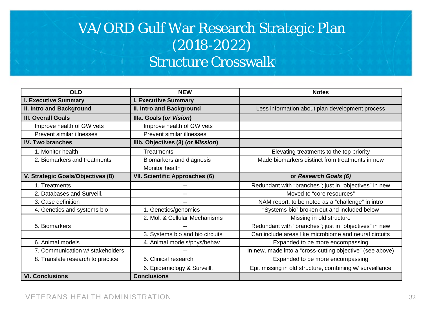## VA/ORD Gulf War Research Strategic Plan (2018-2022) Structure Crosswalk

| <b>OLD</b>                        | <b>NEW</b>                            | <b>Notes</b>                                              |
|-----------------------------------|---------------------------------------|-----------------------------------------------------------|
| <b>I. Executive Summary</b>       | <b>I. Executive Summary</b>           |                                                           |
| II. Intro and Background          | II. Intro and Background              | Less information about plan development process           |
| <b>III. Overall Goals</b>         | Illa. Goals (or Vision)               |                                                           |
| Improve health of GW vets         | Improve health of GW vets             |                                                           |
| Prevent similar illnesses         | Prevent similar illnesses             |                                                           |
| <b>IV. Two branches</b>           | IIIb. Objectives (3) (or Mission)     |                                                           |
| 1. Monitor health                 | Treatments                            | Elevating treatments to the top priority                  |
| 2. Biomarkers and treatments      | Biomarkers and diagnosis              | Made biomarkers distinct from treatments in new           |
|                                   | Monitor health                        |                                                           |
| V. Strategic Goals/Objectives (8) | <b>VII. Scientific Approaches (6)</b> | or Research Goals (6)                                     |
| 1. Treatments                     |                                       | Redundant with "branches"; just in "objectives" in new    |
| 2. Databases and Surveill.        |                                       | Moved to "core resources"                                 |
| 3. Case definition                | --                                    | NAM report; to be noted as a "challenge" in intro         |
| 4. Genetics and systems bio       | 1. Genetics/genomics                  | "Systems bio" broken out and included below               |
|                                   | 2. Mol. & Cellular Mechanisms         | Missing in old structure                                  |
| 5. Biomarkers                     |                                       | Redundant with "branches"; just in "objectives" in new    |
|                                   | 3. Systems bio and bio circuits       | Can include areas like microbiome and neural circuits     |
| 6. Animal models                  | 4. Animal models/phys/behav           | Expanded to be more encompassing                          |
| 7. Communication w/ stakeholders  |                                       | In new, made into a "cross-cutting objective" (see above) |
| 8. Translate research to practice | 5. Clinical research                  | Expanded to be more encompassing                          |
|                                   | 6. Epidemiology & Surveill.           | Epi. missing in old structure, combining w/ surveillance  |
| <b>VI. Conclusions</b>            | <b>Conclusions</b>                    |                                                           |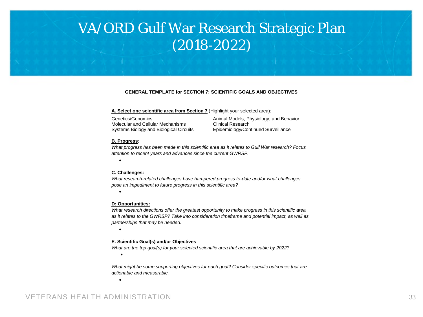### VA/ORD Gulf War Research Strategic Plan (2018-2022)

#### **GENERAL TEMPLATE for SECTION 7: SCIENTIFIC GOALS AND OBJECTIVES**

#### **A. Select one scientific area from Section 7** (Highlight your selected area):

Genetics/Genomics Molecular and Cellular Mechanisms Systems Biology and Biological Circuits Animal Models, Physiology, and Behavior Clinical Research Epidemiology/Continued Surveillance

#### **B. Progress**:

•

•

*What progress has been made in this scientific area as it relates to Gulf War research? Focus attention to recent years and advances since the current GWRSP.*

#### **C. Challenges:**

*What research-related challenges have hampered progress to-date and/or what challenges pose an impediment to future progress in this scientific area?* 

#### **D: Opportunities:**

*What research directions offer the greatest opportunity to make progress in this scientific area as it relates to the GWRSP? Take into consideration timeframe and potential impact, as well as partnerships that may be needed.* 

#### **E. Scientific Goal(s) and/or Objectives**

*What are the top goal(s) for your selected scientific area that are achievable by 2022?*

•

•

•

*What might be some supporting objectives for each goal? Consider specific outcomes that are actionable and measurable.*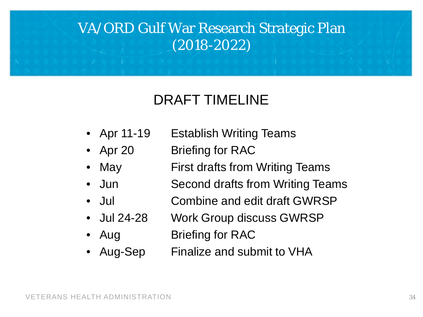## VA/ORD Gulf War Research Strategic Plan (2018-2022)

## DRAFT TIMELINE

- Apr 11-19 Establish Writing Teams
- Apr 20 Briefing for RAC
- May First drafts from Writing Teams
- Jun Second drafts from Writing Teams
- Jul **Combine and edit draft GWRSP**
- Jul 24-28 Work Group discuss GWRSP
- Aug Briefing for RAC
- Aug-Sep Finalize and submit to VHA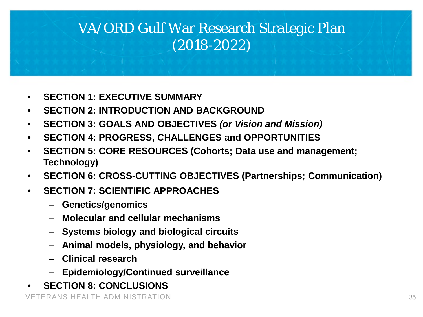## VA/ORD Gulf War Research Strategic Plan (2018-2022)

- **SECTION 1: EXECUTIVE SUMMARY**
- **SECTION 2: INTRODUCTION AND BACKGROUND**
- **SECTION 3: GOALS AND OBJECTIVES** *(or Vision and Mission)*
- **SECTION 4: PROGRESS, CHALLENGES and OPPORTUNITIES**
- **SECTION 5: CORE RESOURCES (Cohorts; Data use and management; Technology)**
- **SECTION 6: CROSS-CUTTING OBJECTIVES (Partnerships; Communication)**
- **SECTION 7: SCIENTIFIC APPROACHES**
	- **Genetics/genomics**
	- **Molecular and cellular mechanisms**
	- **Systems biology and biological circuits**
	- **Animal models, physiology, and behavior**
	- **Clinical research**
	- **Epidemiology/Continued surveillance**
- **SECTION 8: CONCLUSIONS**